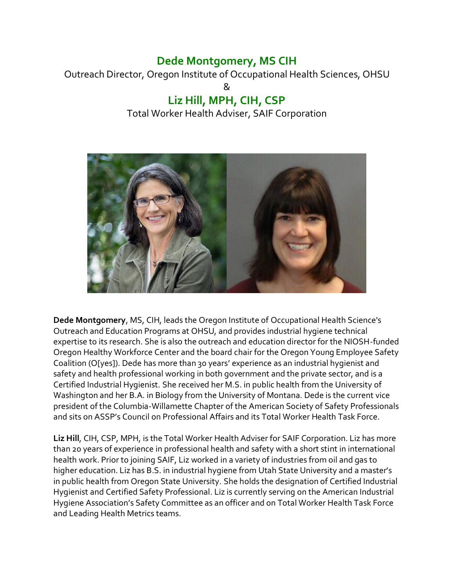## **Dede Montgomery, MS CIH**

Outreach Director, Oregon Institute of Occupational Health Sciences, OHSU  $\mathsf{\&}$ 

## **Liz Hill, MPH, CIH, CSP** Total Worker Health Adviser, SAIF Corporation



**Dede Montgomery**, MS, CIH, leads the Oregon Institute of Occupational Health Science's Outreach and Education Programs at OHSU, and provides industrial hygiene technical expertise to its research. She is also the outreach and education director for the NIOSH-funded Oregon Healthy Workforce Center and the board chair for the Oregon Young Employee Safety Coalition (O[yes]). Dede has more than 30 years' experience as an industrial hygienist and safety and health professional working in both government and the private sector, and is a Certified Industrial Hygienist. She received her M.S. in public health from the University of Washington and her B.A. in Biology from the University of Montana. Dede is the current vice president of the Columbia-Willamette Chapter of the American Society of Safety Professionals and sits on ASSP's Council on Professional Affairs and its Total Worker Health Task Force.

**Liz Hill**, CIH, CSP, MPH, is the Total Worker Health Adviser for SAIF Corporation. Liz has more than 20 years of experience in professional health and safety with a short stint in international health work. Prior to joining SAIF, Liz worked in a variety of industries from oil and gas to higher education. Liz has B.S. in industrial hygiene from Utah State University and a master's in public health from Oregon State University. She holds the designation of Certified Industrial Hygienist and Certified Safety Professional. Liz is currently serving on the American Industrial Hygiene Association's Safety Committee as an officer and on Total Worker Health Task Force and Leading Health Metrics teams.